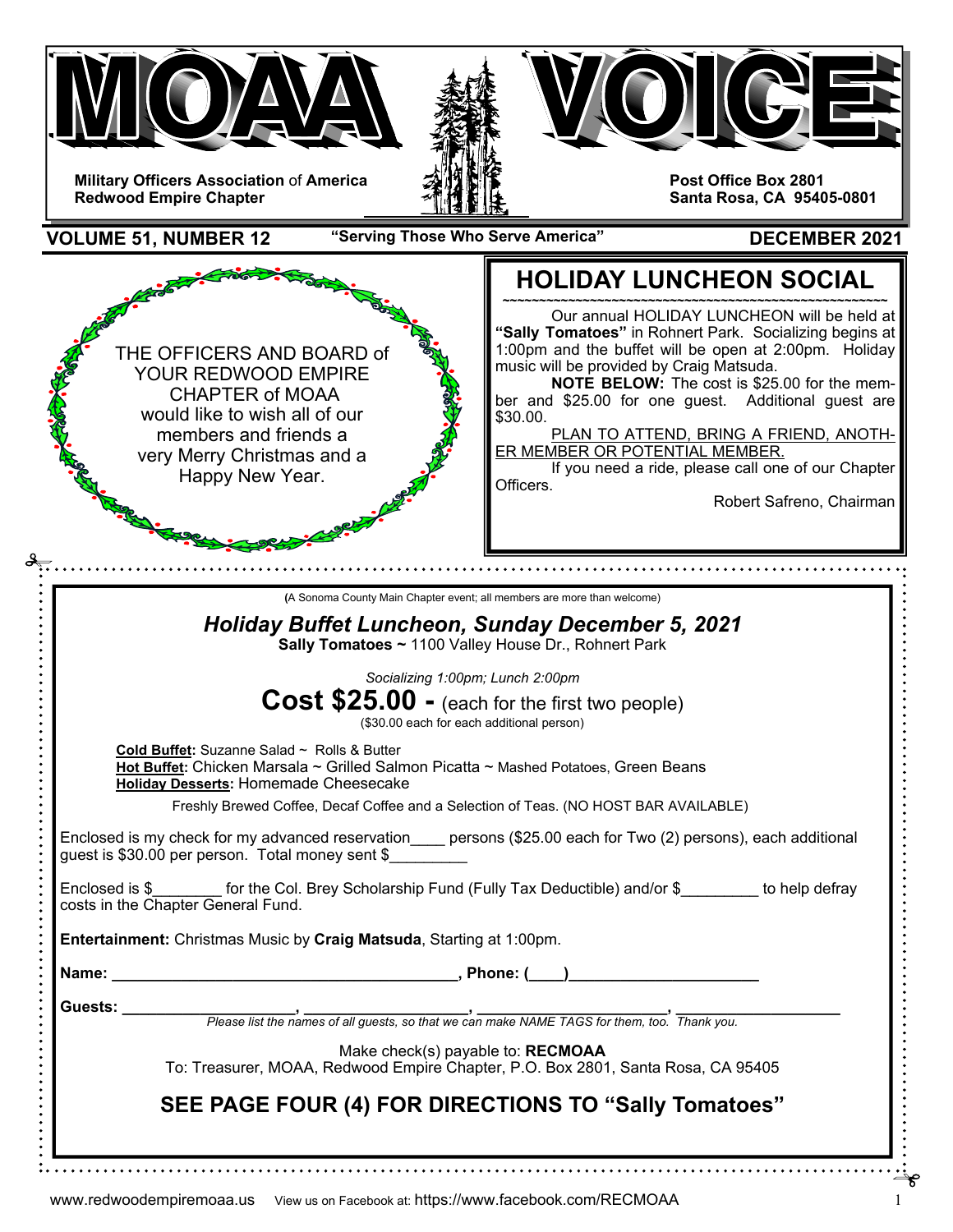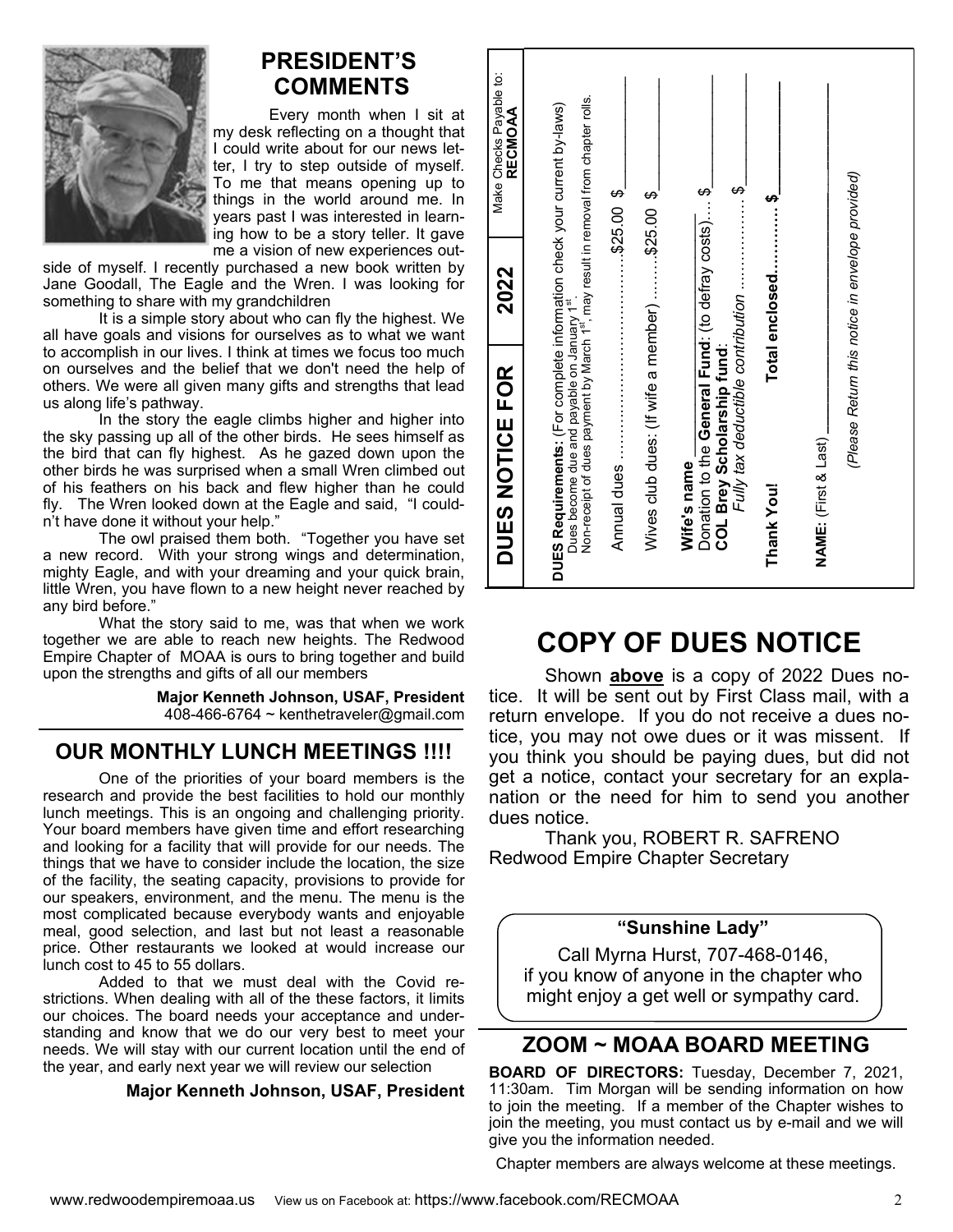

## **PRESIDENT'S COMMENTS**

Every month when I sit at my desk reflecting on a thought that I could write about for our news letter, I try to step outside of myself. To me that means opening up to things in the world around me. In years past I was interested in learning how to be a story teller. It gave me a vision of new experiences out-

side of myself. I recently purchased a new book written by Jane Goodall, The Eagle and the Wren. I was looking for something to share with my grandchildren

 It is a simple story about who can fly the highest. We all have goals and visions for ourselves as to what we want to accomplish in our lives. I think at times we focus too much on ourselves and the belief that we don't need the help of others. We were all given many gifts and strengths that lead us along life's pathway.

In the story the eagle climbs higher and higher into the sky passing up all of the other birds. He sees himself as the bird that can fly highest. As he gazed down upon the other birds he was surprised when a small Wren climbed out of his feathers on his back and flew higher than he could fly. The Wren looked down at the Eagle and said, "I couldn't have done it without your help."

The owl praised them both. "Together you have set a new record. With your strong wings and determination, mighty Eagle, and with your dreaming and your quick brain, little Wren, you have flown to a new height never reached by any bird before."

What the story said to me, was that when we work together we are able to reach new heights. The Redwood Empire Chapter of MOAA is ours to bring together and build upon the strengths and gifts of all our members

> **Major Kenneth Johnson, USAF, President**  408-466-6764  $\sim$  kenthetraveler@gmail.com

## **OUR MONTHLY LUNCH MEETINGS !!!!**

One of the priorities of your board members is the research and provide the best facilities to hold our monthly lunch meetings. This is an ongoing and challenging priority. Your board members have given time and effort researching and looking for a facility that will provide for our needs. The things that we have to consider include the location, the size of the facility, the seating capacity, provisions to provide for our speakers, environment, and the menu. The menu is the most complicated because everybody wants and enjoyable meal, good selection, and last but not least a reasonable price. Other restaurants we looked at would increase our lunch cost to 45 to 55 dollars.

 Added to that we must deal with the Covid restrictions. When dealing with all of the these factors, it limits our choices. The board needs your acceptance and understanding and know that we do our very best to meet your needs. We will stay with our current location until the end of the year, and early next year we will review our selection

#### **Major Kenneth Johnson, USAF, President**

| Make Checks Payable to:<br>RECMOAA | Non-receipt of dues payment by March 1st, may result in removal from chapter rolls.                                      |                                                | $\ddot{\bm{\theta}}$ :                                                                                                                                                                                                                                                                                                                                             |                  |                      |                                                  |           |
|------------------------------------|--------------------------------------------------------------------------------------------------------------------------|------------------------------------------------|--------------------------------------------------------------------------------------------------------------------------------------------------------------------------------------------------------------------------------------------------------------------------------------------------------------------------------------------------------------------|------------------|----------------------|--------------------------------------------------|-----------|
| 2022                               |                                                                                                                          | Wives club dues: (If wife a member) \$25.00 \$ | Donation to the General Fund: (to defray costs) \$                                                                                                                                                                                                                                                                                                                 | Total enclosed\$ |                      | (Please Return this notice in envelope provided) |           |
|                                    | Dues become due and payable on January 1st                                                                               |                                                | Fully tax deductible contribution<br>COL Brey Scholarship fund:                                                                                                                                                                                                                                                                                                    |                  |                      |                                                  |           |
| <b>DUES NOTICE FOR</b>             | DUES Requirements: (For complete information check your current by-laws)                                                 |                                                | Wife's name                                                                                                                                                                                                                                                                                                                                                        | Thank You!       | NAME: (First & Last) |                                                  |           |
|                                    | <b>COPY</b><br>Shown<br>It will be sent out<br>ice. It will be se<br>return envelope.<br>ice, you may no<br>dues notice. | <b>OF</b><br>above                             | <b>DUES</b><br>is<br>a<br>copy<br>by First Class mail, with a<br>If you do not receive a dues no-<br>you may not owe dues or it was<br>ou think you should be paying dues, but did not<br>get a notice, contact your secretary for an expla-<br>nation or the need for him to send you another<br>Thank you, ROBERT R. SAFRENO<br>Redwood Empire Chapter Secretary | of 2022          | <b>NOTICE</b>        | Dues<br>missent.                                 | no-<br>lf |
|                                    |                                                                                                                          |                                                | "Sunshine Lady"                                                                                                                                                                                                                                                                                                                                                    |                  |                      |                                                  |           |
|                                    |                                                                                                                          |                                                | Call Myrna Hurst, 707-468-0146,<br>if you know of anyone in the chapter who<br>might enjoy a get well or sympathy card.                                                                                                                                                                                                                                            |                  |                      |                                                  |           |

# **COPY OF DUES NOTICE**

### **"Sunshine Lady"**

## **ZOOM ~ MOAA BOARD MEETING**

**BOARD OF DIRECTORS:** Tuesday, December 7, 2021, 11:30am. Tim Morgan will be sending information on how to join the meeting. If a member of the Chapter wishes to join the meeting, you must contact us by e-mail and we will give you the information needed.

Chapter members are always welcome at these meetings.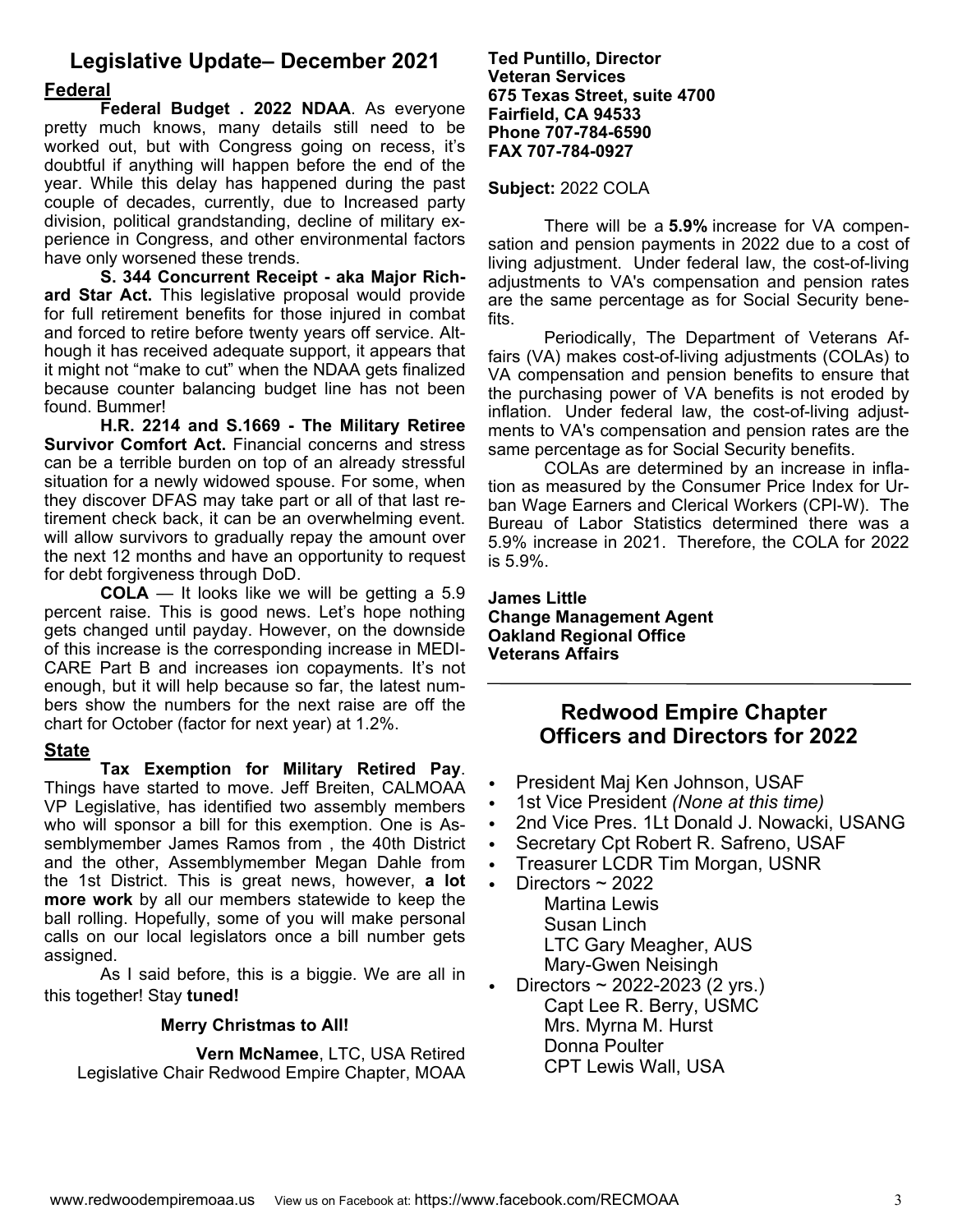## **Legislative Update– December 2021 Federal**

 **Federal Budget . 2022 NDAA**. As everyone pretty much knows, many details still need to be worked out, but with Congress going on recess, it's doubtful if anything will happen before the end of the year. While this delay has happened during the past couple of decades, currently, due to Increased party division, political grandstanding, decline of military experience in Congress, and other environmental factors have only worsened these trends.

**S. 344 Concurrent Receipt - aka Major Richard Star Act.** This legislative proposal would provide for full retirement benefits for those injured in combat and forced to retire before twenty years off service. Although it has received adequate support, it appears that it might not "make to cut" when the NDAA gets finalized because counter balancing budget line has not been found. Bummer!

**H.R. 2214 and S.1669 - The Military Retiree Survivor Comfort Act.** Financial concerns and stress can be a terrible burden on top of an already stressful situation for a newly widowed spouse. For some, when they discover DFAS may take part or all of that last retirement check back, it can be an overwhelming event. will allow survivors to gradually repay the amount over the next 12 months and have an opportunity to request for debt forgiveness through DoD.

**COLA** — It looks like we will be getting a 5.9 percent raise. This is good news. Let's hope nothing gets changed until payday. However, on the downside of this increase is the corresponding increase in MEDI-CARE Part B and increases ion copayments. It's not enough, but it will help because so far, the latest numbers show the numbers for the next raise are off the chart for October (factor for next year) at 1.2%.

#### **State**

**Tax Exemption for Military Retired Pay**. Things have started to move. Jeff Breiten, CALMOAA VP Legislative, has identified two assembly members who will sponsor a bill for this exemption. One is Assemblymember James Ramos from , the 40th District and the other, Assemblymember Megan Dahle from the 1st District. This is great news, however, **a lot more work** by all our members statewide to keep the ball rolling. Hopefully, some of you will make personal calls on our local legislators once a bill number gets assigned.

 As I said before, this is a biggie. We are all in this together! Stay **tuned!** 

### **Merry Christmas to All!**

**Vern McNamee**, LTC, USA Retired Legislative Chair Redwood Empire Chapter, MOAA

#### **Ted Puntillo, Director Veteran Services 675 Texas Street, suite 4700 Fairfield, CA 94533 Phone 707-784-6590 FAX 707-784-0927**

#### **Subject:** 2022 COLA

 There will be a **5.9%** increase for VA compensation and pension payments in 2022 due to a cost of living adjustment. Under federal law, the cost-of-living adjustments to VA's compensation and pension rates are the same percentage as for Social Security benefits.

 Periodically, The Department of Veterans Affairs (VA) makes cost-of-living adjustments (COLAs) to VA compensation and pension benefits to ensure that the purchasing power of VA benefits is not eroded by inflation. Under federal law, the cost-of-living adjustments to VA's compensation and pension rates are the same percentage as for Social Security benefits.

 COLAs are determined by an increase in inflation as measured by the Consumer Price Index for Urban Wage Earners and Clerical Workers (CPI-W). The Bureau of Labor Statistics determined there was a 5.9% increase in 2021. Therefore, the COLA for 2022 is 5.9%.

**James Little Change Management Agent Oakland Regional Office Veterans Affairs** 

### **Redwood Empire Chapter Officers and Directors for 2022**

- President Maj Ken Johnson, USAF
- 1st Vice President *(None at this time)*
- 2nd Vice Pres. 1Lt Donald J. Nowacki, USANG
- Secretary Cpt Robert R. Safreno, USAF
- Treasurer LCDR Tim Morgan, USNR
- Directors  $\sim$  2022 Martina Lewis Susan Linch LTC Gary Meagher, AUS Mary-Gwen Neisingh
- Directors  $\sim$  2022-2023 (2 yrs.) Capt Lee R. Berry, USMC Mrs. Myrna M. Hurst Donna Poulter CPT Lewis Wall, USA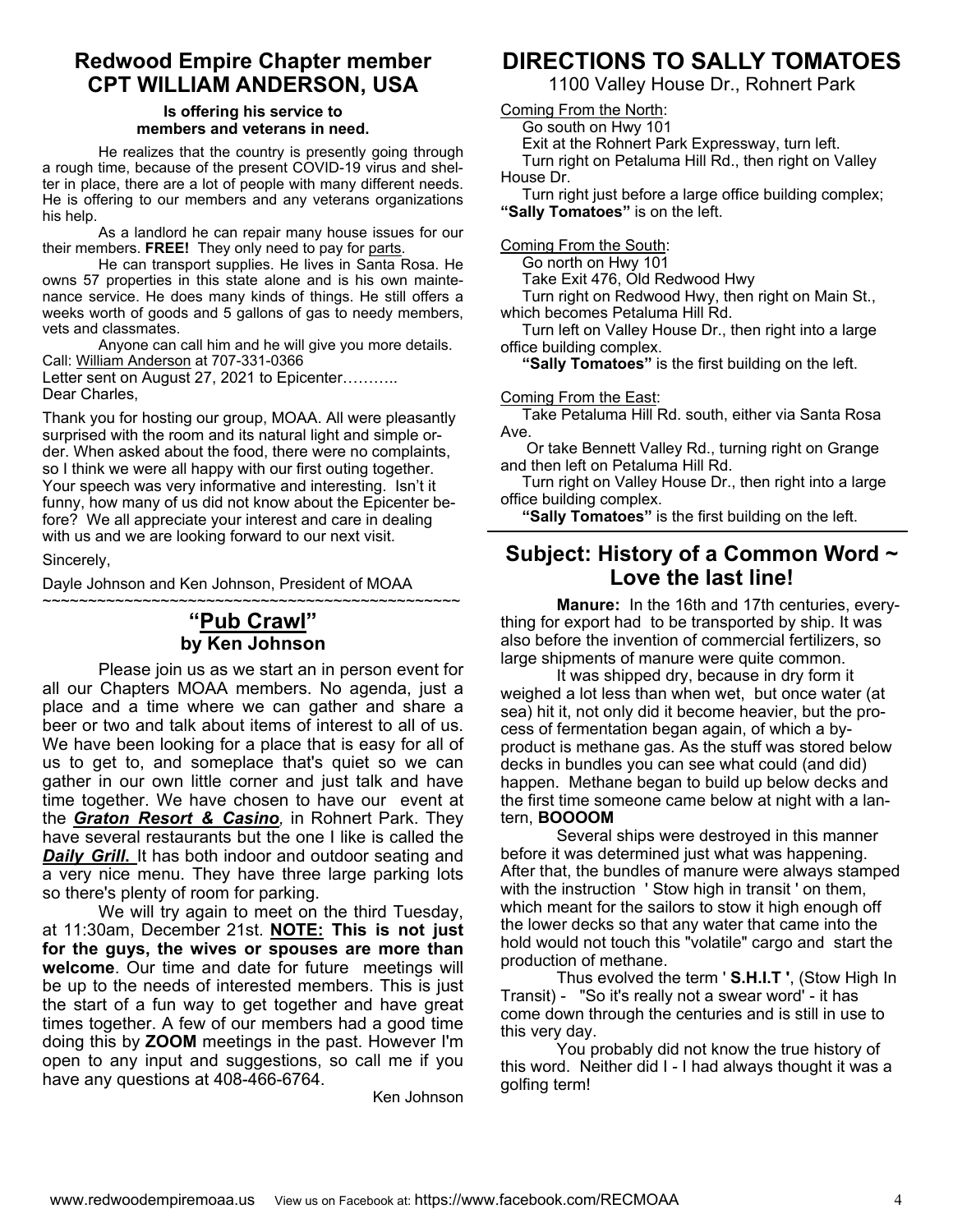### **Redwood Empire Chapter member CPT WILLIAM ANDERSON, USA**

#### **Is offering his service to members and veterans in need.**

He realizes that the country is presently going through a rough time, because of the present COVID-19 virus and shelter in place, there are a lot of people with many different needs. He is offering to our members and any veterans organizations his help.

 As a landlord he can repair many house issues for our their members. **FREE!** They only need to pay for parts.

 He can transport supplies. He lives in Santa Rosa. He owns 57 properties in this state alone and is his own maintenance service. He does many kinds of things. He still offers a weeks worth of goods and 5 gallons of gas to needy members, vets and classmates.

 Anyone can call him and he will give you more details. Call: William Anderson at 707-331-0366 Letter sent on August 27, 2021 to Epicenter.......... Dear Charles,

Thank you for hosting our group, MOAA. All were pleasantly surprised with the room and its natural light and simple order. When asked about the food, there were no complaints, so I think we were all happy with our first outing together. Your speech was very informative and interesting. Isn't it funny, how many of us did not know about the Epicenter before? We all appreciate your interest and care in dealing with us and we are looking forward to our next visit.

#### Sincerely,

Dayle Johnson and Ken Johnson, President of MOAA

### ~~~~~~~~~~~~~~~~~~~~~~~~~~~~~~~~~~~~~~~~~~~~~~ **"Pub Crawl" by Ken Johnson**

 Please join us as we start an in person event for all our Chapters MOAA members. No agenda, just a place and a time where we can gather and share a beer or two and talk about items of interest to all of us. We have been looking for a place that is easy for all of us to get to, and someplace that's quiet so we can gather in our own little corner and just talk and have time together. We have chosen to have our event at the *Graton Resort & Casino,* in Rohnert Park. They have several restaurants but the one I like is called the **Daily Grill.** It has both indoor and outdoor seating and a very nice menu. They have three large parking lots so there's plenty of room for parking.

 We will try again to meet on the third Tuesday, at 11:30am, December 21st. **NOTE: This is not just for the guys, the wives or spouses are more than welcome**. Our time and date for future meetings will be up to the needs of interested members. This is just the start of a fun way to get together and have great times together. A few of our members had a good time doing this by **ZOOM** meetings in the past. However I'm open to any input and suggestions, so call me if you have any questions at 408-466-6764.

Ken Johnson

## **DIRECTIONS TO SALLY TOMATOES**

1100 Valley House Dr., Rohnert Park

Coming From the North:

Go south on Hwy 101

Exit at the Rohnert Park Expressway, turn left.

 Turn right on Petaluma Hill Rd., then right on Valley House Dr.

 Turn right just before a large office building complex; **"Sally Tomatoes"** is on the left.

Coming From the South:

Go north on Hwy 101

Take Exit 476, Old Redwood Hwy

 Turn right on Redwood Hwy, then right on Main St., which becomes Petaluma Hill Rd.

 Turn left on Valley House Dr., then right into a large office building complex.

**"Sally Tomatoes"** is the first building on the left.

#### Coming From the East:

 Take Petaluma Hill Rd. south, either via Santa Rosa Ave.

 Or take Bennett Valley Rd., turning right on Grange and then left on Petaluma Hill Rd.

 Turn right on Valley House Dr., then right into a large office building complex.

**"Sally Tomatoes"** is the first building on the left.

### **Subject: History of a Common Word ~ Love the last line!**

**Manure:** In the 16th and 17th centuries, everything for export had to be transported by ship. It was also before the invention of commercial fertilizers, so large shipments of manure were quite common.

 It was shipped dry, because in dry form it weighed a lot less than when wet, but once water (at sea) hit it, not only did it become heavier, but the process of fermentation began again, of which a byproduct is methane gas. As the stuff was stored below decks in bundles you can see what could (and did) happen. Methane began to build up below decks and the first time someone came below at night with a lantern, **BOOOOM**

 Several ships were destroyed in this manner before it was determined just what was happening. After that, the bundles of manure were always stamped with the instruction ' Stow high in transit ' on them, which meant for the sailors to stow it high enough off the lower decks so that any water that came into the hold would not touch this "volatile" cargo and start the production of methane.

 Thus evolved the term ' **S.H.I.T '**, (Stow High In Transit) - "So it's really not a swear word' - it has come down through the centuries and is still in use to this very day.

 You probably did not know the true history of this word. Neither did I - I had always thought it was a golfing term!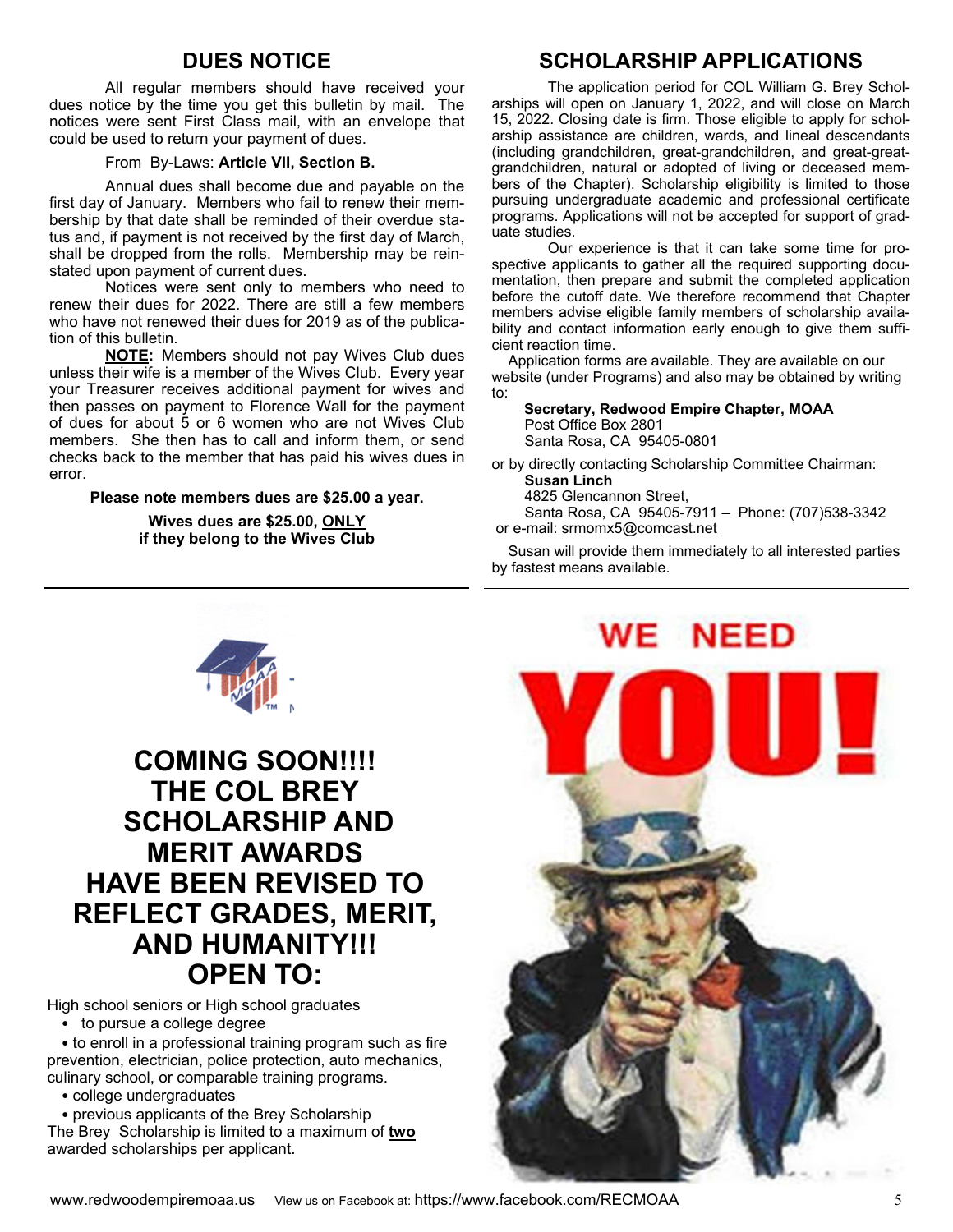### **DUES NOTICE**

 All regular members should have received your dues notice by the time you get this bulletin by mail. The notices were sent First Class mail, with an envelope that could be used to return your payment of dues.

#### From By-Laws: **Article VII, Section B.**

 Annual dues shall become due and payable on the first day of January. Members who fail to renew their membership by that date shall be reminded of their overdue status and, if payment is not received by the first day of March, shall be dropped from the rolls. Membership may be reinstated upon payment of current dues.

 Notices were sent only to members who need to renew their dues for 2022. There are still a few members who have not renewed their dues for 2019 as of the publication of this bulletin.

**NOTE:** Members should not pay Wives Club dues unless their wife is a member of the Wives Club. Every year your Treasurer receives additional payment for wives and then passes on payment to Florence Wall for the payment of dues for about 5 or 6 women who are not Wives Club members. She then has to call and inform them, or send checks back to the member that has paid his wives dues in error.

**Please note members dues are \$25.00 a year.** 

**Wives dues are \$25.00, ONLY if they belong to the Wives Club** 

### **SCHOLARSHIP APPLICATIONS**

 The application period for COL William G. Brey Scholarships will open on January 1, 2022, and will close on March 15, 2022. Closing date is firm. Those eligible to apply for scholarship assistance are children, wards, and lineal descendants (including grandchildren, great-grandchildren, and great-greatgrandchildren, natural or adopted of living or deceased members of the Chapter). Scholarship eligibility is limited to those pursuing undergraduate academic and professional certificate programs. Applications will not be accepted for support of graduate studies.

Our experience is that it can take some time for prospective applicants to gather all the required supporting documentation, then prepare and submit the completed application before the cutoff date. We therefore recommend that Chapter members advise eligible family members of scholarship availability and contact information early enough to give them sufficient reaction time.

 Application forms are available. They are available on our website (under Programs) and also may be obtained by writing to:

 **Secretary, Redwood Empire Chapter, MOAA** Post Office Box 2801 Santa Rosa, CA 95405-0801

or by directly contacting Scholarship Committee Chairman: **Susan Linch**

4825 Glencannon Street,

 Santa Rosa, CA 95405-7911 – Phone: (707)538-3342 or e-mail: srmomx5@comcast.net

 Susan will provide them immediately to all interested parties by fastest means available.





# **COMING SOON!!!! THE COL BREY SCHOLARSHIP AND MERIT AWARDS HAVE BEEN REVISED TO REFLECT GRADES, MERIT, AND HUMANITY!!! OPEN TO:**

High school seniors or High school graduates

• to pursue a college degree

• to enroll in a professional training program such as fire prevention, electrician, police protection, auto mechanics, culinary school, or comparable training programs.

• college undergraduates

• previous applicants of the Brey Scholarship The Brey Scholarship is limited to a maximum of **two** awarded scholarships per applicant.